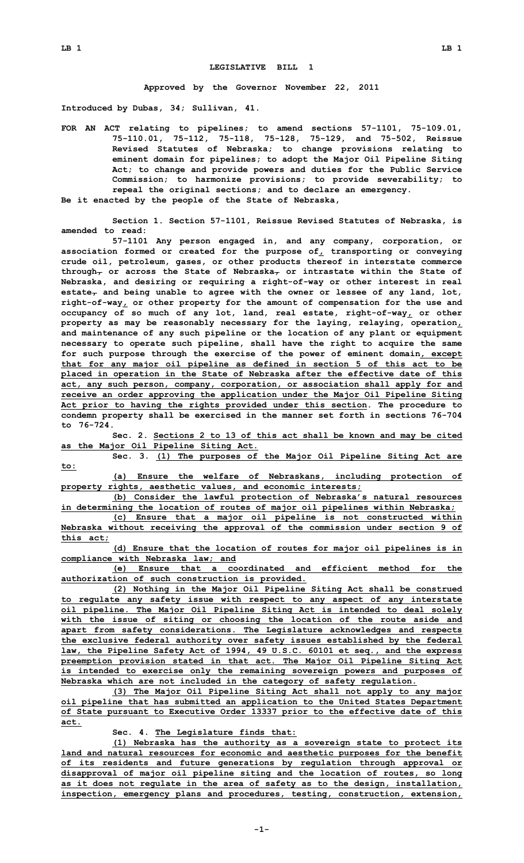## **LEGISLATIVE BILL 1**

**Approved by the Governor November 22, 2011**

**Introduced by Dubas, 34; Sullivan, 41.**

**FOR AN ACT relating to pipelines; to amend sections 57-1101, 75-109.01, 75-110.01, 75-112, 75-118, 75-128, 75-129, and 75-502, Reissue Revised Statutes of Nebraska; to change provisions relating to eminent domain for pipelines; to adopt the Major Oil Pipeline Siting Act; to change and provide powers and duties for the Public Service Commission; to harmonize provisions; to provide severability; to repeal the original sections; and to declare an emergency. Be it enacted by the people of the State of Nebraska,**

**Section 1. Section 57-1101, Reissue Revised Statutes of Nebraska, is amended to read:**

**57-1101 Any person engaged in, and any company, corporation, or association formed or created for the purpose of, transporting or conveying crude oil, petroleum, gases, or other products thereof in interstate commerce through, or across the State of Nebraska, or intrastate within the State of Nebraska, and desiring or requiring <sup>a</sup> right-of-way or other interest in real estate, and being unable to agree with the owner or lessee of any land, lot, right-of-way, or other property for the amount of compensation for the use and occupancy of so much of any lot, land, real estate, right-of-way, or other property as may be reasonably necessary for the laying, relaying, operation, and maintenance of any such pipeline or the location of any plant or equipment necessary to operate such pipeline, shall have the right to acquire the same for such purpose through the exercise of the power of eminent domain, except that for any major oil pipeline as defined in section 5 of this act to be placed in operation in the State of Nebraska after the effective date of this act, any such person, company, corporation, or association shall apply for and receive an order approving the application under the Major Oil Pipeline Siting Act prior to having the rights provided under this section. The procedure to condemn property shall be exercised in the manner set forth in sections 76-704 to 76-724.**

**Sec. 2. Sections 2 to 13 of this act shall be known and may be cited as the Major Oil Pipeline Siting Act.**

**Sec. 3. (1) The purposes of the Major Oil Pipeline Siting Act are to:**

**(a) Ensure the welfare of Nebraskans, including protection of property rights, aesthetic values, and economic interests;**

**(b) Consider the lawful protection of Nebraska's natural resources in determining the location of routes of major oil pipelines within Nebraska;**

**(c) Ensure that <sup>a</sup> major oil pipeline is not constructed within Nebraska without receiving the approval of the commission under section 9 of this act;**

**(d) Ensure that the location of routes for major oil pipelines is in compliance with Nebraska law; and**

**(e) Ensure that <sup>a</sup> coordinated and efficient method for the authorization of such construction is provided.**

**(2) Nothing in the Major Oil Pipeline Siting Act shall be construed to regulate any safety issue with respect to any aspect of any interstate oil pipeline. The Major Oil Pipeline Siting Act is intended to deal solely with the issue of siting or choosing the location of the route aside and apart from safety considerations. The Legislature acknowledges and respects the exclusive federal authority over safety issues established by the federal law, the Pipeline Safety Act of 1994, 49 U.S.C. 60101 et seq., and the express preemption provision stated in that act. The Major Oil Pipeline Siting Act is intended to exercise only the remaining sovereign powers and purposes of Nebraska which are not included in the category of safety regulation.**

**(3) The Major Oil Pipeline Siting Act shall not apply to any major oil pipeline that has submitted an application to the United States Department of State pursuant to Executive Order 13337 prior to the effective date of this act.**

**Sec. 4. The Legislature finds that:**

**(1) Nebraska has the authority as <sup>a</sup> sovereign state to protect its land and natural resources for economic and aesthetic purposes for the benefit of its residents and future generations by regulation through approval or disapproval of major oil pipeline siting and the location of routes, so long as it does not regulate in the area of safety as to the design, installation, inspection, emergency plans and procedures, testing, construction, extension,**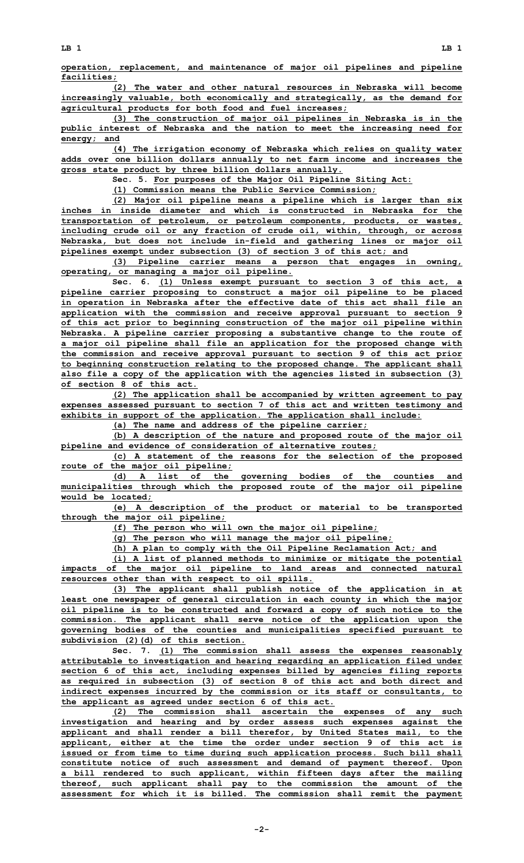**operation, replacement, and maintenance of major oil pipelines and pipeline facilities;**

**(2) The water and other natural resources in Nebraska will become increasingly valuable, both economically and strategically, as the demand for agricultural products for both food and fuel increases;**

**(3) The construction of major oil pipelines in Nebraska is in the public interest of Nebraska and the nation to meet the increasing need for energy; and**

**(4) The irrigation economy of Nebraska which relies on quality water adds over one billion dollars annually to net farm income and increases the gross state product by three billion dollars annually.**

**Sec. 5. For purposes of the Major Oil Pipeline Siting Act:**

**(1) Commission means the Public Service Commission;**

**(2) Major oil pipeline means <sup>a</sup> pipeline which is larger than six inches in inside diameter and which is constructed in Nebraska for the transportation of petroleum, or petroleum components, products, or wastes, including crude oil or any fraction of crude oil, within, through, or across Nebraska, but does not include in-field and gathering lines or major oil pipelines exempt under subsection (3) of section 3 of this act; and**

**(3) Pipeline carrier means <sup>a</sup> person that engages in owning, operating, or managing <sup>a</sup> major oil pipeline.**

**Sec. 6. (1) Unless exempt pursuant to section 3 of this act, <sup>a</sup> pipeline carrier proposing to construct <sup>a</sup> major oil pipeline to be placed in operation in Nebraska after the effective date of this act shall file an application with the commission and receive approval pursuant to section 9 of this act prior to beginning construction of the major oil pipeline within Nebraska. A pipeline carrier proposing <sup>a</sup> substantive change to the route of <sup>a</sup> major oil pipeline shall file an application for the proposed change with the commission and receive approval pursuant to section 9 of this act prior to beginning construction relating to the proposed change. The applicant shall also file <sup>a</sup> copy of the application with the agencies listed in subsection (3) of section 8 of this act.**

**(2) The application shall be accompanied by written agreement to pay expenses assessed pursuant to section 7 of this act and written testimony and exhibits in support of the application. The application shall include:**

**(a) The name and address of the pipeline carrier;**

**(b) <sup>A</sup> description of the nature and proposed route of the major oil pipeline and evidence of consideration of alternative routes;**

**(c) <sup>A</sup> statement of the reasons for the selection of the proposed route of the major oil pipeline;**

**(d) <sup>A</sup> list of the governing bodies of the counties and municipalities through which the proposed route of the major oil pipeline would be located;**

**(e) <sup>A</sup> description of the product or material to be transported through the major oil pipeline;**

**(f) The person who will own the major oil pipeline;**

**(g) The person who will manage the major oil pipeline;**

**(h) <sup>A</sup> plan to comply with the Oil Pipeline Reclamation Act; and**

**(i) <sup>A</sup> list of planned methods to minimize or mitigate the potential impacts of the major oil pipeline to land areas and connected natural resources other than with respect to oil spills.**

**(3) The applicant shall publish notice of the application in at least one newspaper of general circulation in each county in which the major oil pipeline is to be constructed and forward <sup>a</sup> copy of such notice to the commission. The applicant shall serve notice of the application upon the governing bodies of the counties and municipalities specified pursuant to subdivision (2)(d) of this section.**

**Sec. 7. (1) The commission shall assess the expenses reasonably attributable to investigation and hearing regarding an application filed under section 6 of this act, including expenses billed by agencies filing reports as required in subsection (3) of section 8 of this act and both direct and indirect expenses incurred by the commission or its staff or consultants, to the applicant as agreed under section 6 of this act.**

**(2) The commission shall ascertain the expenses of any such investigation and hearing and by order assess such expenses against the applicant and shall render <sup>a</sup> bill therefor, by United States mail, to the applicant, either at the time the order under section 9 of this act is issued or from time to time during such application process. Such bill shall constitute notice of such assessment and demand of payment thereof. Upon <sup>a</sup> bill rendered to such applicant, within fifteen days after the mailing thereof, such applicant shall pay to the commission the amount of the assessment for which it is billed. The commission shall remit the payment**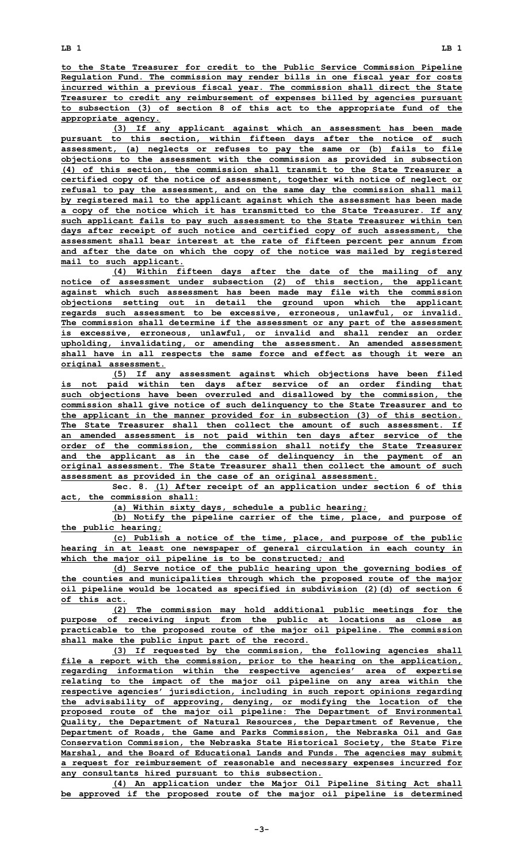**to the State Treasurer for credit to the Public Service Commission Pipeline Regulation Fund. The commission may render bills in one fiscal year for costs incurred within <sup>a</sup> previous fiscal year. The commission shall direct the State Treasurer to credit any reimbursement of expenses billed by agencies pursuant to subsection (3) of section 8 of this act to the appropriate fund of the appropriate agency.**

**(3) If any applicant against which an assessment has been made pursuant to this section, within fifteen days after the notice of such assessment, (a) neglects or refuses to pay the same or (b) fails to file objections to the assessment with the commission as provided in subsection (4) of this section, the commission shall transmit to the State Treasurer <sup>a</sup> certified copy of the notice of assessment, together with notice of neglect or refusal to pay the assessment, and on the same day the commission shall mail by registered mail to the applicant against which the assessment has been made <sup>a</sup> copy of the notice which it has transmitted to the State Treasurer. If any such applicant fails to pay such assessment to the State Treasurer within ten days after receipt of such notice and certified copy of such assessment, the assessment shall bear interest at the rate of fifteen percent per annum from and after the date on which the copy of the notice was mailed by registered mail to such applicant.**

**(4) Within fifteen days after the date of the mailing of any notice of assessment under subsection (2) of this section, the applicant against which such assessment has been made may file with the commission objections setting out in detail the ground upon which the applicant regards such assessment to be excessive, erroneous, unlawful, or invalid. The commission shall determine if the assessment or any part of the assessment is excessive, erroneous, unlawful, or invalid and shall render an order upholding, invalidating, or amending the assessment. An amended assessment shall have in all respects the same force and effect as though it were an original assessment.**

**(5) If any assessment against which objections have been filed is not paid within ten days after service of an order finding that such objections have been overruled and disallowed by the commission, the commission shall give notice of such delinquency to the State Treasurer and to the applicant in the manner provided for in subsection (3) of this section. The State Treasurer shall then collect the amount of such assessment. If an amended assessment is not paid within ten days after service of the order of the commission, the commission shall notify the State Treasurer and the applicant as in the case of delinquency in the payment of an original assessment. The State Treasurer shall then collect the amount of such assessment as provided in the case of an original assessment.**

**Sec. 8. (1) After receipt of an application under section 6 of this act, the commission shall:**

**(a) Within sixty days, schedule <sup>a</sup> public hearing;**

**(b) Notify the pipeline carrier of the time, place, and purpose of the public hearing;**

**(c) Publish <sup>a</sup> notice of the time, place, and purpose of the public hearing in at least one newspaper of general circulation in each county in which the major oil pipeline is to be constructed; and**

**(d) Serve notice of the public hearing upon the governing bodies of the counties and municipalities through which the proposed route of the major oil pipeline would be located as specified in subdivision (2)(d) of section 6 of this act.**

**(2) The commission may hold additional public meetings for the purpose of receiving input from the public at locations as close as practicable to the proposed route of the major oil pipeline. The commission shall make the public input part of the record.**

**(3) If requested by the commission, the following agencies shall file <sup>a</sup> report with the commission, prior to the hearing on the application, regarding information within the respective agencies' area of expertise relating to the impact of the major oil pipeline on any area within the respective agencies' jurisdiction, including in such report opinions regarding the advisability of approving, denying, or modifying the location of the proposed route of the major oil pipeline: The Department of Environmental Quality, the Department of Natural Resources, the Department of Revenue, the Department of Roads, the Game and Parks Commission, the Nebraska Oil and Gas Conservation Commission, the Nebraska State Historical Society, the State Fire Marshal, and the Board of Educational Lands and Funds. The agencies may submit <sup>a</sup> request for reimbursement of reasonable and necessary expenses incurred for any consultants hired pursuant to this subsection.**

**(4) An application under the Major Oil Pipeline Siting Act shall be approved if the proposed route of the major oil pipeline is determined**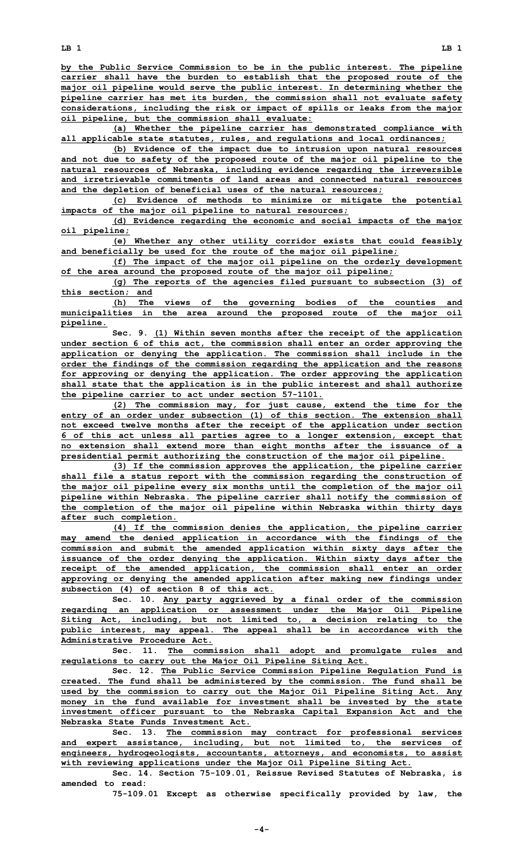**by the Public Service Commission to be in the public interest. The pipeline carrier shall have the burden to establish that the proposed route of the major oil pipeline would serve the public interest. In determining whether the pipeline carrier has met its burden, the commission shall not evaluate safety considerations, including the risk or impact of spills or leaks from the major oil pipeline, but the commission shall evaluate:**

**(a) Whether the pipeline carrier has demonstrated compliance with all applicable state statutes, rules, and regulations and local ordinances;**

**(b) Evidence of the impact due to intrusion upon natural resources and not due to safety of the proposed route of the major oil pipeline to the natural resources of Nebraska, including evidence regarding the irreversible and irretrievable commitments of land areas and connected natural resources and the depletion of beneficial uses of the natural resources;**

**(c) Evidence of methods to minimize or mitigate the potential impacts of the major oil pipeline to natural resources;**

**(d) Evidence regarding the economic and social impacts of the major oil pipeline;**

**(e) Whether any other utility corridor exists that could feasibly and beneficially be used for the route of the major oil pipeline;**

**(f) The impact of the major oil pipeline on the orderly development of the area around the proposed route of the major oil pipeline;**

**(g) The reports of the agencies filed pursuant to subsection (3) of this section; and**

**(h) The views of the governing bodies of the counties and municipalities in the area around the proposed route of the major oil pipeline.**

**Sec. 9. (1) Within seven months after the receipt of the application under section 6 of this act, the commission shall enter an order approving the application or denying the application. The commission shall include in the order the findings of the commission regarding the application and the reasons for approving or denying the application. The order approving the application shall state that the application is in the public interest and shall authorize the pipeline carrier to act under section 57-1101.**

**(2) The commission may, for just cause, extend the time for the entry of an order under subsection (1) of this section. The extension shall not exceed twelve months after the receipt of the application under section 6 of this act unless all parties agree to <sup>a</sup> longer extension, except that no extension shall extend more than eight months after the issuance of <sup>a</sup> presidential permit authorizing the construction of the major oil pipeline.**

**(3) If the commission approves the application, the pipeline carrier shall file <sup>a</sup> status report with the commission regarding the construction of the major oil pipeline every six months until the completion of the major oil pipeline within Nebraska. The pipeline carrier shall notify the commission of the completion of the major oil pipeline within Nebraska within thirty days after such completion.**

**(4) If the commission denies the application, the pipeline carrier may amend the denied application in accordance with the findings of the commission and submit the amended application within sixty days after the issuance of the order denying the application. Within sixty days after the receipt of the amended application, the commission shall enter an order approving or denying the amended application after making new findings under subsection (4) of section 8 of this act.**

**Sec. 10. Any party aggrieved by <sup>a</sup> final order of the commission regarding an application or assessment under the Major Oil Pipeline Siting Act, including, but not limited to, <sup>a</sup> decision relating to the public interest, may appeal. The appeal shall be in accordance with the Administrative Procedure Act.**

**Sec. 11. The commission shall adopt and promulgate rules and regulations to carry out the Major Oil Pipeline Siting Act.**

**Sec. 12. The Public Service Commission Pipeline Regulation Fund is created. The fund shall be administered by the commission. The fund shall be used by the commission to carry out the Major Oil Pipeline Siting Act. Any money in the fund available for investment shall be invested by the state investment officer pursuant to the Nebraska Capital Expansion Act and the Nebraska State Funds Investment Act.**

**Sec. 13. The commission may contract for professional services and expert assistance, including, but not limited to, the services of engineers, hydrogeologists, accountants, attorneys, and economists, to assist with reviewing applications under the Major Oil Pipeline Siting Act.**

**Sec. 14. Section 75-109.01, Reissue Revised Statutes of Nebraska, is amended to read:**

**75-109.01 Except as otherwise specifically provided by law, the**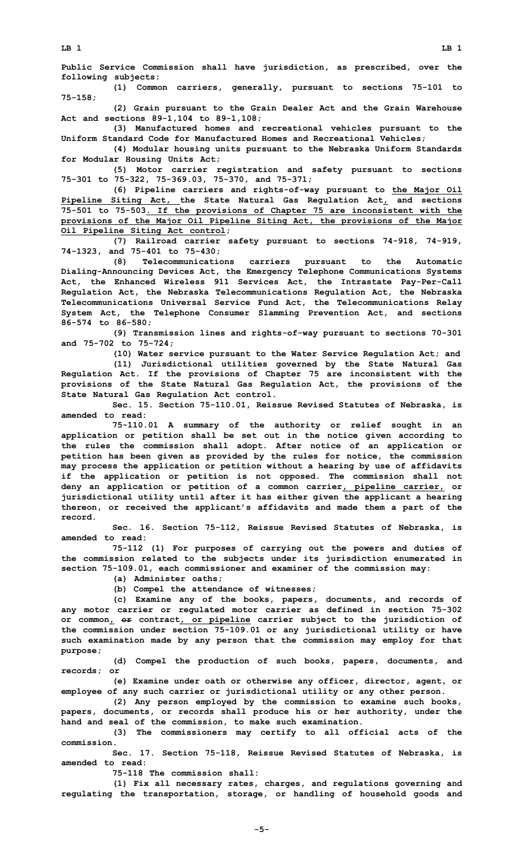**Public Service Commission shall have jurisdiction, as prescribed, over the following subjects:**

**(1) Common carriers, generally, pursuant to sections 75-101 to 75-158;**

**(2) Grain pursuant to the Grain Dealer Act and the Grain Warehouse Act and sections 89-1,104 to 89-1,108;**

**(3) Manufactured homes and recreational vehicles pursuant to the Uniform Standard Code for Manufactured Homes and Recreational Vehicles;**

**(4) Modular housing units pursuant to the Nebraska Uniform Standards for Modular Housing Units Act;**

**(5) Motor carrier registration and safety pursuant to sections 75-301 to 75-322, 75-369.03, 75-370, and 75-371;**

**(6) Pipeline carriers and rights-of-way pursuant to the Major Oil Pipeline Siting Act, the State Natural Gas Regulation Act, and sections 75-501 to 75-503. If the provisions of Chapter 75 are inconsistent with the provisions of the Major Oil Pipeline Siting Act, the provisions of the Major Oil Pipeline Siting Act control;**

**(7) Railroad carrier safety pursuant to sections 74-918, 74-919, 74-1323, and 75-401 to 75-430;**

**(8) Telecommunications carriers pursuant to the Automatic Dialing-Announcing Devices Act, the Emergency Telephone Communications Systems Act, the Enhanced Wireless 911 Services Act, the Intrastate Pay-Per-Call Regulation Act, the Nebraska Telecommunications Regulation Act, the Nebraska Telecommunications Universal Service Fund Act, the Telecommunications Relay System Act, the Telephone Consumer Slamming Prevention Act, and sections 86-574 to 86-580;**

**(9) Transmission lines and rights-of-way pursuant to sections 70-301 and 75-702 to 75-724;**

**(10) Water service pursuant to the Water Service Regulation Act; and (11) Jurisdictional utilities governed by the State Natural Gas Regulation Act. If the provisions of Chapter 75 are inconsistent with the provisions of the State Natural Gas Regulation Act, the provisions of the State Natural Gas Regulation Act control.**

**Sec. 15. Section 75-110.01, Reissue Revised Statutes of Nebraska, is amended to read:**

**75-110.01 <sup>A</sup> summary of the authority or relief sought in an application or petition shall be set out in the notice given according to the rules the commission shall adopt. After notice of an application or petition has been given as provided by the rules for notice, the commission may process the application or petition without <sup>a</sup> hearing by use of affidavits if the application or petition is not opposed. The commission shall not deny an application or petition of <sup>a</sup> common carrier, pipeline carrier, or jurisdictional utility until after it has either given the applicant <sup>a</sup> hearing thereon, or received the applicant's affidavits and made them <sup>a</sup> part of the record.**

**Sec. 16. Section 75-112, Reissue Revised Statutes of Nebraska, is amended to read:**

**75-112 (1) For purposes of carrying out the powers and duties of the commission related to the subjects under its jurisdiction enumerated in section 75-109.01, each commissioner and examiner of the commission may:**

**(a) Administer oaths;**

**(b) Compel the attendance of witnesses;**

**(c) Examine any of the books, papers, documents, and records of any motor carrier or regulated motor carrier as defined in section 75-302 or common, or contract, or pipeline carrier subject to the jurisdiction of the commission under section 75-109.01 or any jurisdictional utility or have such examination made by any person that the commission may employ for that purpose;**

**(d) Compel the production of such books, papers, documents, and records; or**

**(e) Examine under oath or otherwise any officer, director, agent, or employee of any such carrier or jurisdictional utility or any other person.**

**(2) Any person employed by the commission to examine such books, papers, documents, or records shall produce his or her authority, under the hand and seal of the commission, to make such examination.**

**(3) The commissioners may certify to all official acts of the commission.**

**Sec. 17. Section 75-118, Reissue Revised Statutes of Nebraska, is amended to read:**

**75-118 The commission shall:**

**(1) Fix all necessary rates, charges, and regulations governing and regulating the transportation, storage, or handling of household goods and**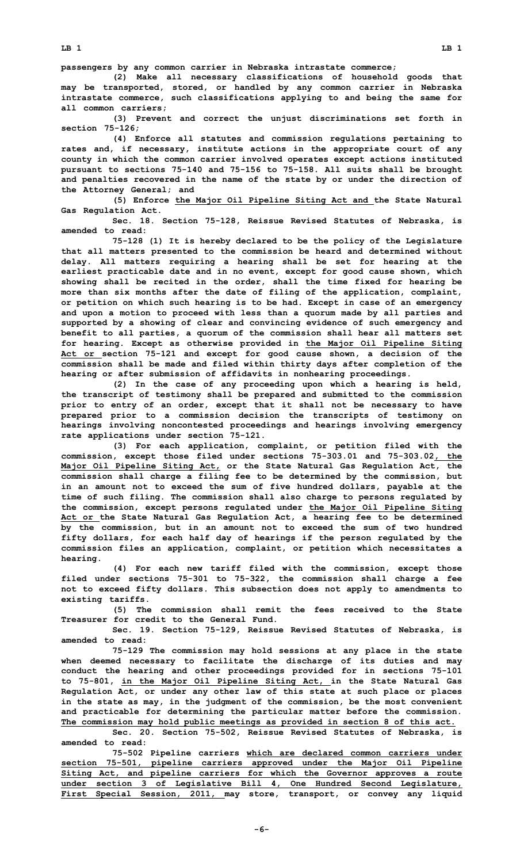**passengers by any common carrier in Nebraska intrastate commerce;**

**(2) Make all necessary classifications of household goods that may be transported, stored, or handled by any common carrier in Nebraska intrastate commerce, such classifications applying to and being the same for all common carriers;**

**(3) Prevent and correct the unjust discriminations set forth in section 75-126;**

**(4) Enforce all statutes and commission regulations pertaining to rates and, if necessary, institute actions in the appropriate court of any county in which the common carrier involved operates except actions instituted pursuant to sections 75-140 and 75-156 to 75-158. All suits shall be brought and penalties recovered in the name of the state by or under the direction of the Attorney General; and**

**(5) Enforce the Major Oil Pipeline Siting Act and the State Natural Gas Regulation Act.**

**Sec. 18. Section 75-128, Reissue Revised Statutes of Nebraska, is amended to read:**

**75-128 (1) It is hereby declared to be the policy of the Legislature that all matters presented to the commission be heard and determined without delay. All matters requiring <sup>a</sup> hearing shall be set for hearing at the earliest practicable date and in no event, except for good cause shown, which showing shall be recited in the order, shall the time fixed for hearing be more than six months after the date of filing of the application, complaint, or petition on which such hearing is to be had. Except in case of an emergency and upon <sup>a</sup> motion to proceed with less than <sup>a</sup> quorum made by all parties and supported by <sup>a</sup> showing of clear and convincing evidence of such emergency and benefit to all parties, <sup>a</sup> quorum of the commission shall hear all matters set for hearing. Except as otherwise provided in the Major Oil Pipeline Siting Act or section 75-121 and except for good cause shown, <sup>a</sup> decision of the commission shall be made and filed within thirty days after completion of the hearing or after submission of affidavits in nonhearing proceedings.**

**(2) In the case of any proceeding upon which <sup>a</sup> hearing is held, the transcript of testimony shall be prepared and submitted to the commission prior to entry of an order, except that it shall not be necessary to have prepared prior to <sup>a</sup> commission decision the transcripts of testimony on hearings involving noncontested proceedings and hearings involving emergency rate applications under section 75-121.**

**(3) For each application, complaint, or petition filed with the commission, except those filed under sections 75-303.01 and 75-303.02, the Major Oil Pipeline Siting Act, or the State Natural Gas Regulation Act, the commission shall charge <sup>a</sup> filing fee to be determined by the commission, but in an amount not to exceed the sum of five hundred dollars, payable at the time of such filing. The commission shall also charge to persons regulated by the commission, except persons regulated under the Major Oil Pipeline Siting Act or the State Natural Gas Regulation Act, <sup>a</sup> hearing fee to be determined by the commission, but in an amount not to exceed the sum of two hundred fifty dollars, for each half day of hearings if the person regulated by the commission files an application, complaint, or petition which necessitates <sup>a</sup> hearing.**

**(4) For each new tariff filed with the commission, except those filed under sections 75-301 to 75-322, the commission shall charge <sup>a</sup> fee not to exceed fifty dollars. This subsection does not apply to amendments to existing tariffs.**

**(5) The commission shall remit the fees received to the State Treasurer for credit to the General Fund.**

**Sec. 19. Section 75-129, Reissue Revised Statutes of Nebraska, is amended to read:**

**75-129 The commission may hold sessions at any place in the state when deemed necessary to facilitate the discharge of its duties and may conduct the hearing and other proceedings provided for in sections 75-101 to 75-801, in the Major Oil Pipeline Siting Act, in the State Natural Gas Regulation Act, or under any other law of this state at such place or places in the state as may, in the judgment of the commission, be the most convenient and practicable for determining the particular matter before the commission. The commission may hold public meetings as provided in section 8 of this act.**

**Sec. 20. Section 75-502, Reissue Revised Statutes of Nebraska, is amended to read:**

**75-502 Pipeline carriers which are declared common carriers under section 75-501, pipeline carriers approved under the Major Oil Pipeline Siting Act, and pipeline carriers for which the Governor approves <sup>a</sup> route under section 3 of Legislative Bill 4, One Hundred Second Legislature, First Special Session, 2011, may store, transport, or convey any liquid**